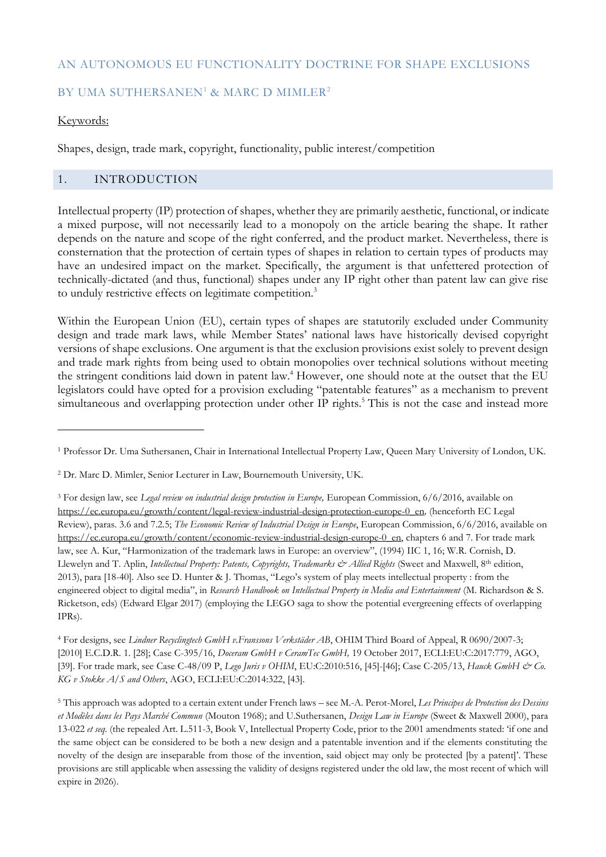## AN AUTONOMOUS EU FUNCTIONALITY DOCTRINE FOR SHAPE EXCLUSIONS

## BY UMA SUTHERSANEN<sup>1</sup> & MARC D MIMLER<sup>2</sup>

#### Keywords:

Shapes, design, trade mark, copyright, functionality, public interest/competition

## 1. INTRODUCTION

Intellectual property (IP) protection of shapes, whether they are primarily aesthetic, functional, or indicate a mixed purpose, will not necessarily lead to a monopoly on the article bearing the shape. It rather depends on the nature and scope of the right conferred, and the product market. Nevertheless, there is consternation that the protection of certain types of shapes in relation to certain types of products may have an undesired impact on the market. Specifically, the argument is that unfettered protection of technically-dictated (and thus, functional) shapes under any IP right other than patent law can give rise to unduly restrictive effects on legitimate competition.<sup>3</sup>

Within the European Union (EU), certain types of shapes are statutorily excluded under Community design and trade mark laws, while Member States' national laws have historically devised copyright versions of shape exclusions. One argument is that the exclusion provisions exist solely to prevent design and trade mark rights from being used to obtain monopolies over technical solutions without meeting the stringent conditions laid down in patent law.<sup>4</sup> However, one should note at the outset that the EU legislators could have opted for a provision excluding "patentable features" as a mechanism to prevent simultaneous and overlapping protection under other IP rights. <sup>5</sup> This is not the case and instead more

<sup>4</sup> For designs, see *Lindner Recyclingtech GmbH v.Franssons Verkstäder AB*, OHIM Third Board of Appeal, R 0690/2007-3; [2010] E.C.D.R. 1. [28]; Case C-395/16, *Doceram GmbH v CeramTec GmbH,* 19 October 2017, ECLI:EU:C:2017:779, AGO, [39]. For trade mark, see Case C-48/09 P, *Lego Juris v OHIM*, EU:C:2010:516, [45]-[46]; Case C-205/13, *Hauck GmbH & Co. KG v Stokke A/S and Others*, AGO, ECLI:EU:C:2014:322, [43].

<sup>1</sup> Professor Dr. Uma Suthersanen, Chair in International Intellectual Property Law, Queen Mary University of London, UK.

<sup>2</sup> Dr. Marc D. Mimler, Senior Lecturer in Law, Bournemouth University, UK.

<sup>3</sup> For design law, see *Legal review on industrial design protection in Europe,* European Commission, 6/6/2016, available on [https://ec.europa.eu/growth/content/legal-review-industrial-design-protection-europe-0\\_en](https://ec.europa.eu/growth/content/legal-review-industrial-design-protection-europe-0_en)*,* (henceforth EC Legal Review), paras. 3.6 and 7.2.5; *The Economic Review of Industrial Design in Europe*, European Commission, 6/6/2016, available on [https://ec.europa.eu/growth/content/economic-review-industrial-design-europe-0\\_en,](https://ec.europa.eu/growth/content/economic-review-industrial-design-europe-0_en) chapters 6 and 7. For trade mark law, see A. Kur, "Harmonization of the trademark laws in Europe: an overview", (1994) IIC 1, 16; W.R. Cornish, D. Llewelyn and T. Aplin, *Intellectual Property: Patents, Copyrights, Trademarks & Allied Rights* (Sweet and Maxwell, 8<sup>th</sup> edition, 2013), para [18-40]. Also see D. Hunter & J. Thomas, "Lego's system of play meets intellectual property : from the engineered object to digital media", in *Research Handbook on Intellectual Property in Media and Entertainment* (M. Richardson & S. Ricketson, eds) (Edward Elgar 2017) (employing the LEGO saga to show the potential evergreening effects of overlapping IPRs).

<sup>5</sup> This approach was adopted to a certain extent under French laws – see M.-A. Perot-Morel, *Les Principes de Protection des Dessins et Modèles dans les Pays Marché Commun* (Mouton 1968); and U.Suthersanen, *Design Law in Europe* (Sweet & Maxwell 2000), para 13-022 *et seq.* (the repealed Art. L.511-3, Book V, Intellectual Property Code, prior to the 2001 amendments stated: 'if one and the same object can be considered to be both a new design and a patentable invention and if the elements constituting the novelty of the design are inseparable from those of the invention, said object may only be protected [by a patent]'. These provisions are still applicable when assessing the validity of designs registered under the old law, the most recent of which will expire in 2026).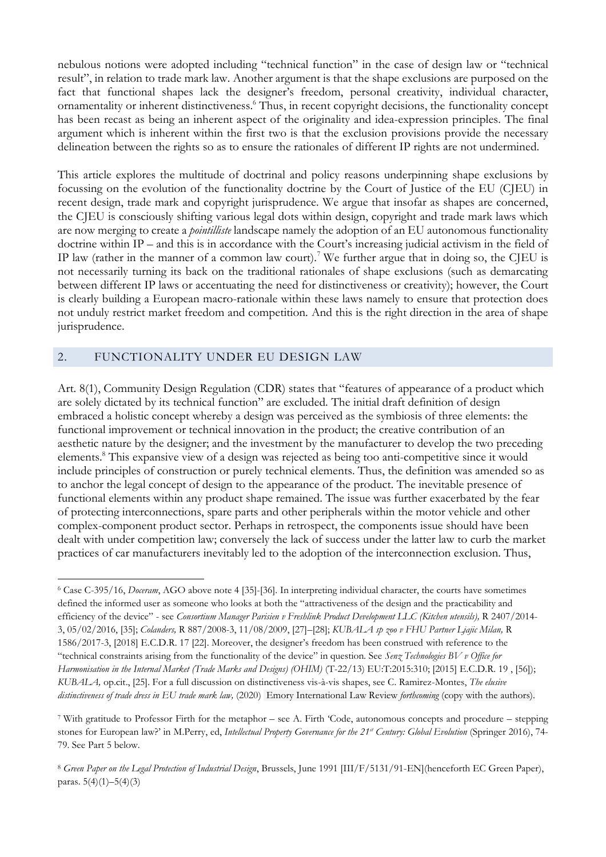nebulous notions were adopted including "technical function" in the case of design law or "technical result", in relation to trade mark law. Another argument is that the shape exclusions are purposed on the fact that functional shapes lack the designer's freedom, personal creativity, individual character, ornamentality or inherent distinctiveness.<sup>6</sup> Thus, in recent copyright decisions, the functionality concept has been recast as being an inherent aspect of the originality and idea-expression principles. The final argument which is inherent within the first two is that the exclusion provisions provide the necessary delineation between the rights so as to ensure the rationales of different IP rights are not undermined.

This article explores the multitude of doctrinal and policy reasons underpinning shape exclusions by focussing on the evolution of the functionality doctrine by the Court of Justice of the EU (CJEU) in recent design, trade mark and copyright jurisprudence. We argue that insofar as shapes are concerned, the CJEU is consciously shifting various legal dots within design, copyright and trade mark laws which are now merging to create a *pointilliste* landscape namely the adoption of an EU autonomous functionality doctrine within IP – and this is in accordance with the Court's increasing judicial activism in the field of IP law (rather in the manner of a common law court).<sup>7</sup> We further argue that in doing so, the CJEU is not necessarily turning its back on the traditional rationales of shape exclusions (such as demarcating between different IP laws or accentuating the need for distinctiveness or creativity); however, the Court is clearly building a European macro-rationale within these laws namely to ensure that protection does not unduly restrict market freedom and competition. And this is the right direction in the area of shape jurisprudence.

## 2. FUNCTIONALITY UNDER EU DESIGN LAW

Art. 8(1), Community Design Regulation (CDR) states that "features of appearance of a product which are solely dictated by its technical function" are excluded. The initial draft definition of design embraced a holistic concept whereby a design was perceived as the symbiosis of three elements: the functional improvement or technical innovation in the product; the creative contribution of an aesthetic nature by the designer; and the investment by the manufacturer to develop the two preceding elements.<sup>8</sup> This expansive view of a design was rejected as being too anti-competitive since it would include principles of construction or purely technical elements. Thus, the definition was amended so as to anchor the legal concept of design to the appearance of the product. The inevitable presence of functional elements within any product shape remained. The issue was further exacerbated by the fear of protecting interconnections, spare parts and other peripherals within the motor vehicle and other complex-component product sector. Perhaps in retrospect, the components issue should have been dealt with under competition law; conversely the lack of success under the latter law to curb the market practices of car manufacturers inevitably led to the adoption of the interconnection exclusion. Thus,

<sup>6</sup> Case C-395/16, *Doceram*, AGO above note 4 [35]-[36]. In interpreting individual character, the courts have sometimes defined the informed user as someone who looks at both the "attractiveness of the design and the practicability and efficiency of the device" - see *Consortium Manager Parisien v Freshlink Product Development LLC (Kitchen utensils)*, R 2407/2014-3, 05/02/2016, [35]; *Colanders,* R 887/2008-3, 11/08/2009, [27]–[28]; *KUBALA sp zoo v FHU Partner Ljajic Milan,* R 1586/2017-3, [2018] E.C.D.R. 17 [22]. Moreover, the designer's freedom has been construed with reference to the "technical constraints arising from the functionality of the device" in question. See *Senz Technologies BV v Office for Harmonisation in the Internal Market (Trade Marks and Designs) (OHIM)* (T-22/13) EU:T:2015:310; [2015] E.C.D.R. 19 , [56]); *KUBALA,* op.cit., [25]. For a full discussion on distinctiveness vis-à-vis shapes, see C. Ramirez-Montes, *The elusive distinctiveness of trade dress in EU trade mark law,* (2020) Emory International Law Review *forthcoming* (copy with the authors).

<sup>7</sup> With gratitude to Professor Firth for the metaphor – see A. Firth 'Code, autonomous concepts and procedure – stepping stones for European law?' in M.Perry, ed, *Intellectual Property Governance for the 21st Century: Global Evolution* (Springer 2016), 74- 79. See Part 5 below.

<sup>8</sup> *Green Paper on the Legal Protection of Industrial Design*, Brussels, June 1991 [III/F/5131/91-EN](henceforth EC Green Paper), paras. 5(4)(1)–5(4)(3)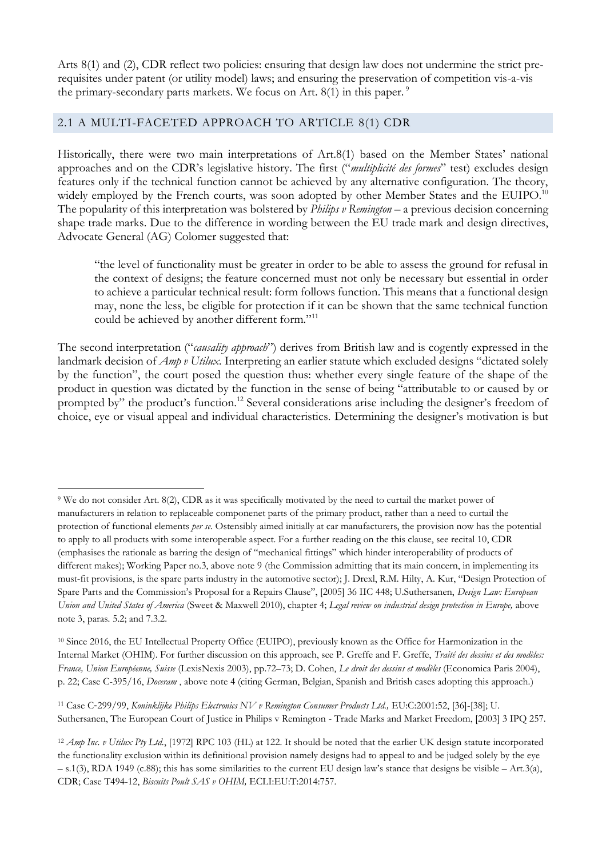Arts 8(1) and (2), CDR reflect two policies: ensuring that design law does not undermine the strict prerequisites under patent (or utility model) laws; and ensuring the preservation of competition vis-a-vis the primary-secondary parts markets. We focus on Art.  $8(1)$  in this paper.<sup>9</sup>

# 2.1 A MULTI-FACETED APPROACH TO ARTICLE 8(1) CDR

Historically, there were two main interpretations of Art.8(1) based on the Member States' national approaches and on the CDR's legislative history. The first ("*multiplicité des formes*" test) excludes design features only if the technical function cannot be achieved by any alternative configuration. The theory, widely employed by the French courts, was soon adopted by other Member States and the EUIPO.<sup>10</sup> The popularity of this interpretation was bolstered by *Philips v Remington* – a previous decision concerning shape trade marks. Due to the difference in wording between the EU trade mark and design directives, Advocate General (AG) Colomer suggested that:

"the level of functionality must be greater in order to be able to assess the ground for refusal in the context of designs; the feature concerned must not only be necessary but essential in order to achieve a particular technical result: form follows function. This means that a functional design may, none the less, be eligible for protection if it can be shown that the same technical function could be achieved by another different form."<sup>11</sup>

The second interpretation ("*causality approach*") derives from British law and is cogently expressed in the landmark decision of *Amp v Utilux.* Interpreting an earlier statute which excluded designs "dictated solely by the function", the court posed the question thus: whether every single feature of the shape of the product in question was dictated by the function in the sense of being "attributable to or caused by or prompted by" the product's function.<sup>12</sup> Several considerations arise including the designer's freedom of choice, eye or visual appeal and individual characteristics. Determining the designer's motivation is but

<sup>9</sup> We do not consider Art. 8(2), CDR as it was specifically motivated by the need to curtail the market power of manufacturers in relation to replaceable componenet parts of the primary product, rather than a need to curtail the protection of functional elements *per se*. Ostensibly aimed initially at car manufacturers, the provision now has the potential to apply to all products with some interoperable aspect. For a further reading on the this clause, see recital 10, CDR (emphasises the rationale as barring the design of "mechanical fittings" which hinder interoperability of products of different makes); Working Paper no.3, above note 9 (the Commission admitting that its main concern, in implementing its must-fit provisions, is the spare parts industry in the automotive sector); J. Drexl, R.M. Hilty, A. Kur, "Design Protection of Spare Parts and the Commission's Proposal for a Repairs Clause", [2005] 36 IIC 448; U.Suthersanen, *Design Law: European Union and United States of America* (Sweet & Maxwell 2010), chapter 4; *Legal review on industrial design protection in Europe,* above note 3, paras. 5.2; and 7.3.2.

<sup>10</sup> Since 2016, the EU Intellectual Property Office (EUIPO), previously known as the Office for Harmonization in the Internal Market (OHIM). For further discussion on this approach, see P. Greffe and F. Greffe, *Traité des dessins et des modèles: France, Union Européenne, Suisse* (LexisNexis 2003), pp.72–73; D. Cohen, *Le droit des dessins et modèles* (Economica Paris 2004), p. 22; Case C-395/16, *Doceram* , above note 4 (citing German, Belgian, Spanish and British cases adopting this approach.)

<sup>11</sup> Case C‑299/99, *Koninklijke Philips Electronics NV v Remington Consumer Products Ltd.,* EU:C:2001:52, [36]-[38]; U. Suthersanen, The European Court of Justice in Philips v Remington - Trade Marks and Market Freedom, [2003] 3 IPQ 257.

<sup>12</sup> *Amp Inc. v Utilux Pty Ltd.*, [1972] RPC 103 (HL) at 122. It should be noted that the earlier UK design statute incorporated the functionality exclusion within its definitional provision namely designs had to appeal to and be judged solely by the eye  $-$  s.1(3), RDA 1949 (c.88); this has some similarities to the current EU design law's stance that designs be visible – Art.3(a), CDR; Case T494-12, *Biscuits Poult SAS v OHIM,* ECLI:EU:T:2014:757.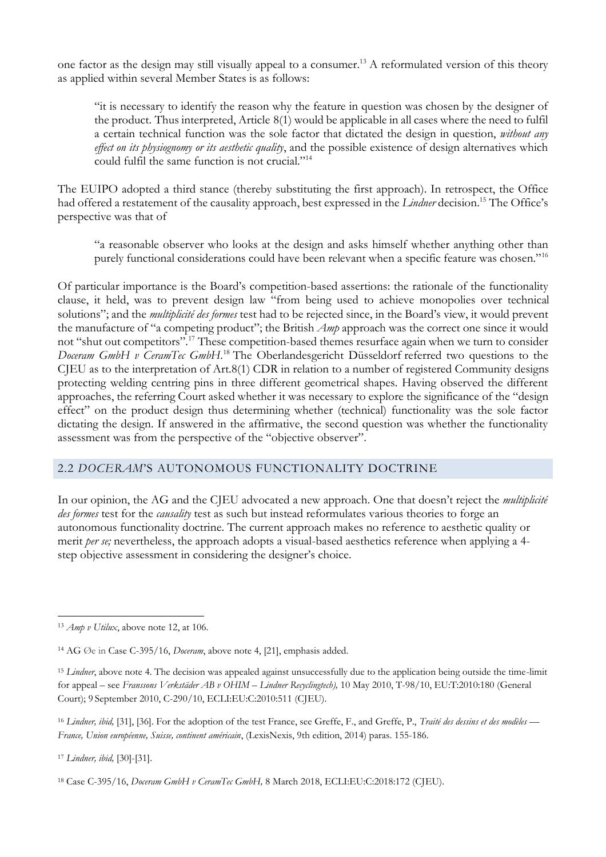one factor as the design may still visually appeal to a consumer.<sup>13</sup> A reformulated version of this theory as applied within several Member States is as follows:

"it is necessary to identify the reason why the feature in question was chosen by the designer of the product. Thus interpreted, Article 8(1) would be applicable in all cases where the need to fulfil a certain technical function was the sole factor that dictated the design in question, *without any effect on its physiognomy or its aesthetic quality*, and the possible existence of design alternatives which could fulfil the same function is not crucial."<sup>14</sup>

The EUIPO adopted a third stance (thereby substituting the first approach). In retrospect, the Office had offered a restatement of the causality approach, best expressed in the *Lindner* decision. <sup>15</sup> The Office's perspective was that of

"a reasonable observer who looks at the design and asks himself whether anything other than purely functional considerations could have been relevant when a specific feature was chosen."<sup>16</sup>

Of particular importance is the Board's competition-based assertions: the rationale of the functionality clause, it held, was to prevent design law "from being used to achieve monopolies over technical solutions"; and the *multiplicité des formes* test had to be rejected since, in the Board's view, it would prevent the manufacture of "a competing product"; the British *Amp* approach was the correct one since it would not "shut out competitors".<sup>17</sup> These competition-based themes resurface again when we turn to consider *Doceram GmbH v CeramTec GmbH.* <sup>18</sup> The Oberlandesgericht Düsseldorf referred two questions to the CJEU as to the interpretation of Art.8(1) CDR in relation to a number of registered Community designs protecting welding centring pins in three different geometrical shapes. Having observed the different approaches, the referring Court asked whether it was necessary to explore the significance of the "design effect" on the product design thus determining whether (technical) functionality was the sole factor dictating the design. If answered in the affirmative, the second question was whether the functionality assessment was from the perspective of the "objective observer".

#### 2.2 *DOCERAM*'S AUTONOMOUS FUNCTIONALITY DOCTRINE

In our opinion, the AG and the CJEU advocated a new approach. One that doesn't reject the *multiplicité des formes* test for the *causality* test as such but instead reformulates various theories to forge an autonomous functionality doctrine. The current approach makes no reference to aesthetic quality or merit *per se;* nevertheless, the approach adopts a visual-based aesthetics reference when applying a 4 step objective assessment in considering the designer's choice.

<sup>17</sup> *Lindner, ibid,* [30]-[31].

<sup>13</sup> *Amp v Utilux*, above note 12, at 106.

<sup>14</sup> AG Øe in Case C-395/16, *Doceram*, above note 4, [21], emphasis added.

<sup>&</sup>lt;sup>15</sup> *Lindner*, above note 4. The decision was appealed against unsuccessfully due to the application being outside the time-limit for appeal – see *Franssons Verkstäder AB v OHIM – Lindner Recyclingtech),* 10 May 2010, T-98/10, EU:T:2010:180 (General Court); 9 September 2010, C-290/10, ECLI:EU:C:2010:511 (CJEU).

<sup>16</sup> *Lindner, ibid,* [31], [36]. For the adoption of the test France, see Greffe, F., and Greffe, P., *Traité des dessins et des modèles — France, Union européenne, Suisse, continent américain*, (LexisNexis, 9th edition, 2014) paras. 155-186.

<sup>18</sup> Case C-395/16, *Doceram GmbH v CeramTec GmbH,* 8 March 2018, ECLI:EU:C:2018:172 (CJEU).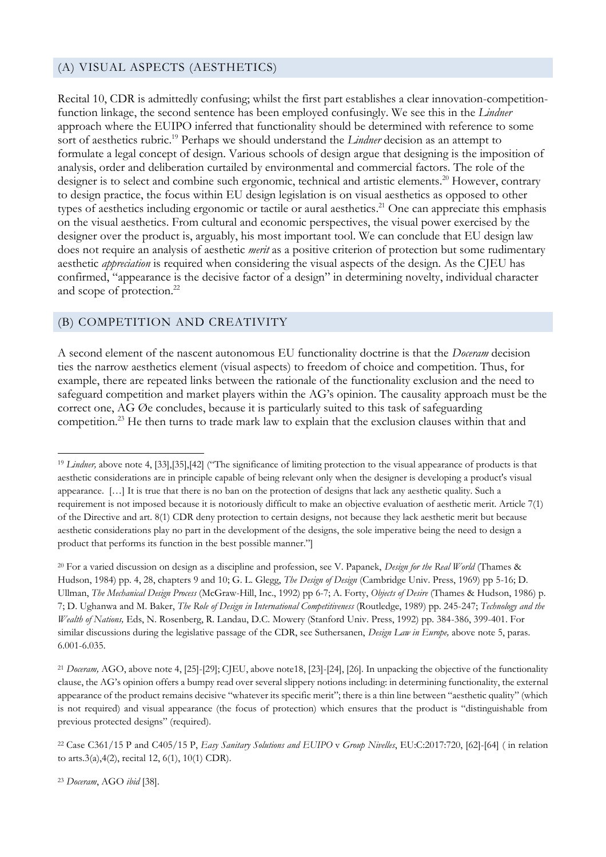## (A) VISUAL ASPECTS (AESTHETICS)

Recital 10, CDR is admittedly confusing; whilst the first part establishes a clear innovation-competitionfunction linkage, the second sentence has been employed confusingly. We see this in the *Lindner*  approach where the EUIPO inferred that functionality should be determined with reference to some sort of aesthetics rubric. <sup>19</sup> Perhaps we should understand the *Lindner* decision as an attempt to formulate a legal concept of design. Various schools of design argue that designing is the imposition of analysis, order and deliberation curtailed by environmental and commercial factors. The role of the designer is to select and combine such ergonomic, technical and artistic elements. <sup>20</sup> However, contrary to design practice, the focus within EU design legislation is on visual aesthetics as opposed to other types of aesthetics including ergonomic or tactile or aural aesthetics.<sup>21</sup> One can appreciate this emphasis on the visual aesthetics. From cultural and economic perspectives, the visual power exercised by the designer over the product is, arguably, his most important tool. We can conclude that EU design law does not require an analysis of aesthetic *merit* as a positive criterion of protection but some rudimentary aesthetic *appreciation* is required when considering the visual aspects of the design. As the CJEU has confirmed, "appearance is the decisive factor of a design" in determining novelty, individual character and scope of protection.<sup>22</sup>

#### (B) COMPETITION AND CREATIVITY

A second element of the nascent autonomous EU functionality doctrine is that the *Doceram* decision ties the narrow aesthetics element (visual aspects) to freedom of choice and competition. Thus, for example, there are repeated links between the rationale of the functionality exclusion and the need to safeguard competition and market players within the AG's opinion. The causality approach must be the correct one, AG Øe concludes, because it is particularly suited to this task of safeguarding competition.<sup>23</sup> He then turns to trade mark law to explain that the exclusion clauses within that and

<sup>23</sup> *Doceram*, AGO *ibid* [38].

<sup>&</sup>lt;sup>19</sup> *Lindner*, above note 4, [33],[35],[42] ("The significance of limiting protection to the visual appearance of products is that aesthetic considerations are in principle capable of being relevant only when the designer is developing a product's visual appearance. […] It is true that there is no ban on the protection of designs that lack any aesthetic quality. Such a requirement is not imposed because it is notoriously difficult to make an objective evaluation of aesthetic merit. Article 7(1) of the Directive and art. 8(1) CDR deny protection to certain designs*,* not because they lack aesthetic merit but because aesthetic considerations play no part in the development of the designs, the sole imperative being the need to design a product that performs its function in the best possible manner."]

<sup>20</sup> For a varied discussion on design as a discipline and profession, see V. Papanek, *Design for the Real World* (Thames & Hudson, 1984) pp. 4, 28, chapters 9 and 10; G. L. Glegg, *The Design of Design* (Cambridge Univ. Press, 1969) pp 5-16; D. Ullman, *The Mechanical Design Process* (McGraw-Hill, Inc., 1992) pp 6-7; A. Forty, *Objects of Desire* (Thames & Hudson, 1986) p. 7; D. Ughanwa and M. Baker, *The Role of Design in International Competitiveness* (Routledge, 1989) pp. 245-247; *Technology and the Wealth of Nations,* Eds, N. Rosenberg, R. Landau, D.C. Mowery (Stanford Univ. Press, 1992) pp. 384-386, 399-401. For similar discussions during the legislative passage of the CDR, see Suthersanen, *Design Law in Europe,* above note 5, paras. 6.001-6.035.

<sup>21</sup> *Doceram,* AGO, above note 4, [25]-[29]; CJEU, above note18, [23]-[24], [26]. In unpacking the objective of the functionality clause, the AG's opinion offers a bumpy read over several slippery notions including: in determining functionality, the external appearance of the product remains decisive "whatever its specific merit"; there is a thin line between "aesthetic quality" (which is not required) and visual appearance (the focus of protection) which ensures that the product is "distinguishable from previous protected designs" (required).

<sup>22</sup> Case C361/15 P and C405/15 P, *Easy Sanitary Solutions and EUIPO* v *Group Nivelles*, EU:C:2017:720, [62]-[64] ( in relation to arts.3(a),4(2), recital 12, 6(1), 10(1) CDR).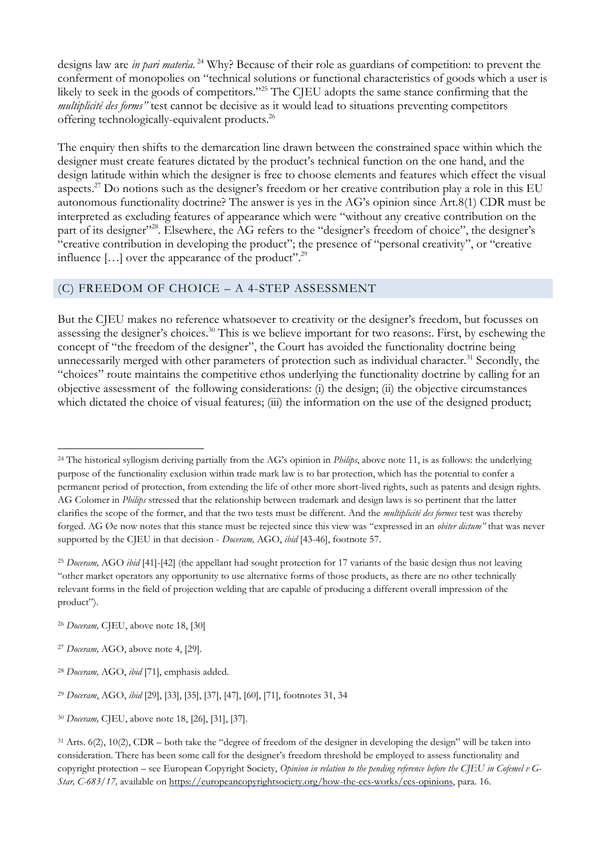designs law are *in pari materia.* <sup>24</sup> Why? Because of their role as guardians of competition: to prevent the conferment of monopolies on "technical solutions or functional characteristics of goods which a user is likely to seek in the goods of competitors."<sup>25</sup> The CJEU adopts the same stance confirming that the *multiplicité des forms*" test cannot be decisive as it would lead to situations preventing competitors offering technologically-equivalent products.<sup>26</sup>

The enquiry then shifts to the demarcation line drawn between the constrained space within which the designer must create features dictated by the product's technical function on the one hand, and the design latitude within which the designer is free to choose elements and features which effect the visual aspects.<sup>27</sup> Do notions such as the designer's freedom or her creative contribution play a role in this EU autonomous functionality doctrine? The answer is yes in the AG's opinion since Art.8(1) CDR must be interpreted as excluding features of appearance which were "without any creative contribution on the part of its designer"<sup>28</sup>. Elsewhere, the AG refers to the "designer's freedom of choice", the designer's "creative contribution in developing the product"; the presence of "personal creativity", or "creative influence  $[\dots]$  over the appearance of the product".<sup>29</sup>

## (C) FREEDOM OF CHOICE – A 4-STEP ASSESSMENT

But the CJEU makes no reference whatsoever to creativity or the designer's freedom, but focusses on assessing the designer's choices.<sup>30</sup> This is we believe important for two reasons:. First, by eschewing the concept of "the freedom of the designer", the Court has avoided the functionality doctrine being unnecessarily merged with other parameters of protection such as individual character.<sup>31</sup> Secondly, the "choices" route maintains the competitive ethos underlying the functionality doctrine by calling for an objective assessment of the following considerations: (i) the design; (ii) the objective circumstances which dictated the choice of visual features; (iii) the information on the use of the designed product;

<sup>24</sup> The historical syllogism deriving partially from the AG's opinion in *Philips*, above note 11, is as follows: the underlying purpose of the functionality exclusion within trade mark law is to bar protection, which has the potential to confer a permanent period of protection, from extending the life of other more short-lived rights, such as patents and design rights. AG Colomer in *Philips* stressed that the relationship between trademark and design laws is so pertinent that the latter clarifies the scope of the former, and that the two tests must be different. And the *multiplicité des formes* test was thereby forged. AG Øe now notes that this stance must be rejected since this view was "expressed in an *obiter dictum"* that was never supported by the CJEU in that decision - *Doceram,* AGO, *ibid* [43-46], footnote 57.

<sup>&</sup>lt;sup>25</sup> *Doceram*, AGO *ibid* [41]-[42] (the appellant had sought protection for 17 variants of the basic design thus not leaving "other market operators any opportunity to use alternative forms of those products, as there are no other technically relevant forms in the field of projection welding that are capable of producing a different overall impression of the product").

<sup>26</sup> *Doceram,* CJEU, above note 18, [30]

<sup>27</sup> *Doceram,* AGO, above note 4, [29].

<sup>28</sup> *Doceram,* AGO, *ibid* [71], emphasis added.

<sup>29</sup> *Doceram*, AGO, *ibid* [29], [33], [35], [37], [47], [60], [71], footnotes 31, 34

<sup>30</sup> *Doceram,* CJEU, above note 18, [26], [31], [37].

<sup>31</sup> Arts. 6(2), 10(2), CDR – both take the "degree of freedom of the designer in developing the design" will be taken into consideration. There has been some call for the designer's freedom threshold be employed to assess functionality and copyright protection – see European Copyright Society, *Opinion in relation to the pending reference before the CJEU in Cofemel v G-Star, C-683/17,* available on [https://europeancopyrightsociety.org/how-the-ecs-works/ecs-opinions,](https://europeancopyrightsociety.org/how-the-ecs-works/ecs-opinions) para. 16.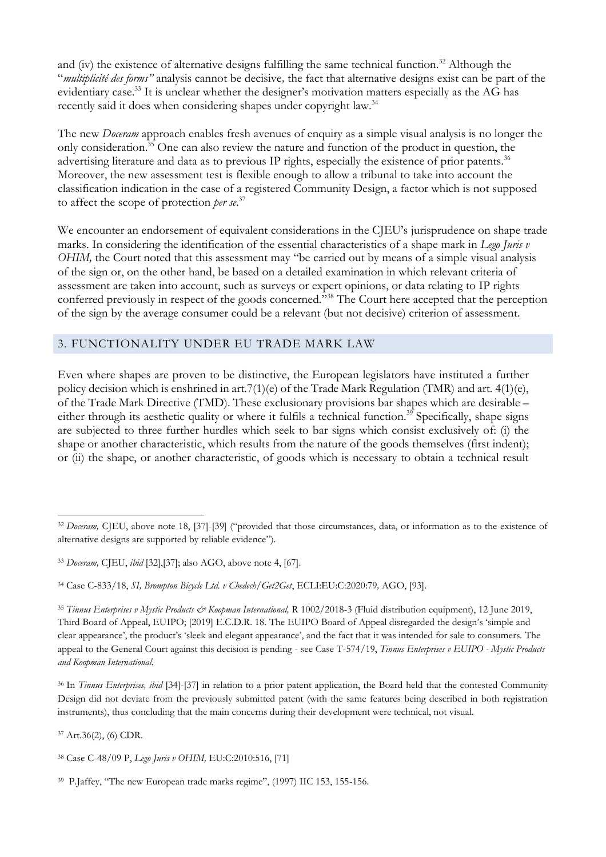and (iv) the existence of alternative designs fulfilling the same technical function.<sup>32</sup> Although the "*multiplicité des forms"* analysis cannot be decisive*,* the fact that alternative designs exist can be part of the evidentiary case.<sup>33</sup> It is unclear whether the designer's motivation matters especially as the AG has recently said it does when considering shapes under copyright law.<sup>34</sup>

The new *Doceram* approach enables fresh avenues of enquiry as a simple visual analysis is no longer the only consideration. <sup>35</sup> One can also review the nature and function of the product in question, the advertising literature and data as to previous IP rights, especially the existence of prior patents.<sup>36</sup> Moreover, the new assessment test is flexible enough to allow a tribunal to take into account the classification indication in the case of a registered Community Design, a factor which is not supposed to affect the scope of protection *per se*. 37

We encounter an endorsement of equivalent considerations in the CJEU's jurisprudence on shape trade marks. In considering the identification of the essential characteristics of a shape mark in *Lego Juris v OHIM*, the Court noted that this assessment may "be carried out by means of a simple visual analysis of the sign or, on the other hand, be based on a detailed examination in which relevant criteria of assessment are taken into account, such as surveys or expert opinions, or data relating to IP rights conferred previously in respect of the goods concerned."<sup>38</sup> The Court here accepted that the perception of the sign by the average consumer could be a relevant (but not decisive) criterion of assessment.

## 3. FUNCTIONALITY UNDER EU TRADE MARK LAW

Even where shapes are proven to be distinctive, the European legislators have instituted a further policy decision which is enshrined in art.7(1)(e) of the Trade Mark Regulation (TMR) and art. 4(1)(e), of the Trade Mark Directive (TMD). These exclusionary provisions bar shapes which are desirable – either through its aesthetic quality or where it fulfils a technical function.<sup>39</sup> Specifically, shape signs are subjected to three further hurdles which seek to bar signs which consist exclusively of: (i) the shape or another characteristic, which results from the nature of the goods themselves (first indent); or (ii) the shape, or another characteristic, of goods which is necessary to obtain a technical result

<sup>37</sup> Art.36(2), (6) CDR.

<sup>&</sup>lt;sup>32</sup> *Doceram*, CJEU, above note 18, [37]-[39] ("provided that those circumstances, data, or information as to the existence of alternative designs are supported by reliable evidence").

<sup>33</sup> *Doceram,* CJEU, *ibid* [32],[37]; also AGO, above note 4, [67].

<sup>34</sup> Case C-833/18, *SI, Brompton Bicycle Ltd. v Chedech/Get2Get*, ECLI:EU:C:2020:79*,* AGO, [93].

<sup>35</sup> *Tinnus Enterprises v Mystic Products & Koopman International,* R 1002/2018-3 (Fluid distribution equipment), 12 June 2019, Third Board of Appeal, EUIPO; [2019] E.C.D.R. 18. The EUIPO Board of Appeal disregarded the design's 'simple and clear appearance', the product's 'sleek and elegant appearance', and the fact that it was intended for sale to consumers. The appeal to the General Court against this decision is pending - see Case T-574/19, *Tinnus Enterprises v EUIPO - Mystic Products and Koopman International.*

<sup>36</sup> In *Tinnus Enterprises, ibid* [34]-[37] in relation to a prior patent application, the Board held that the contested Community Design did not deviate from the previously submitted patent (with the same features being described in both registration instruments), thus concluding that the main concerns during their development were technical, not visual.

<sup>38</sup> Case C-48/09 P, *Lego Juris v OHIM,* EU:C:2010:516, [71]

<sup>39</sup> P.Jaffey, "The new European trade marks regime", (1997) IIC 153, 155-156.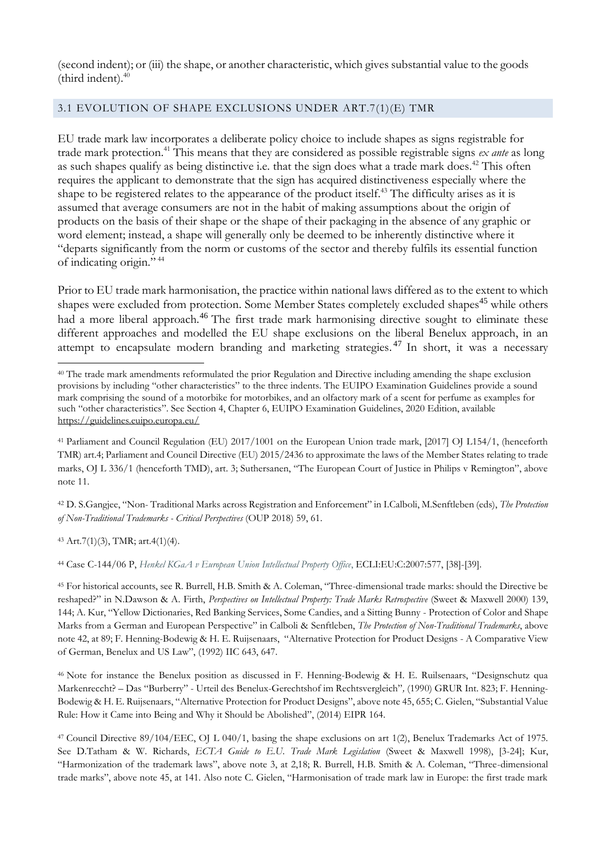(second indent); or (iii) the shape, or another characteristic, which gives substantial value to the goods (third indent). $40$ 

## 3.1 EVOLUTION OF SHAPE EXCLUSIONS UNDER ART.7(1)(E) TMR

EU trade mark law incorporates a deliberate policy choice to include shapes as signs registrable for trade mark protection.<sup>41</sup> This means that they are considered as possible registrable signs *ex ante* as long as such shapes qualify as being distinctive i.e. that the sign does what a trade mark does.<sup>42</sup> This often requires the applicant to demonstrate that the sign has acquired distinctiveness especially where the shape to be registered relates to the appearance of the product itself.<sup>43</sup> The difficulty arises as it is assumed that average consumers are not in the habit of making assumptions about the origin of products on the basis of their shape or the shape of their packaging in the absence of any graphic or word element; instead, a shape will generally only be deemed to be inherently distinctive where it "departs significantly from the norm or customs of the sector and thereby fulfils its essential function of indicating origin." <sup>44</sup>

Prior to EU trade mark harmonisation, the practice within national laws differed as to the extent to which shapes were excluded from protection. Some Member States completely excluded shapes<sup>45</sup> while others had a more liberal approach.<sup>46</sup> The first trade mark harmonising directive sought to eliminate these different approaches and modelled the EU shape exclusions on the liberal Benelux approach, in an attempt to encapsulate modern branding and marketing strategies.<sup>47</sup> In short, it was a necessary

<sup>42</sup> D. S.Gangjee, "Non- Traditional Marks across Registration and Enforcement" in I.Calboli, M.Senftleben (eds), *The Protection of Non-Traditional Trademarks - Critical Perspectives* (OUP 2018) 59, 61.

<sup>43</sup> Art.7(1)(3), TMR; art.4(1)(4).

<sup>44</sup> Case C-144/06 P, *Henkel KGaA v European Union Intellectual Property Office*, ECLI:EU:C:2007:577, [38]-[39].

<sup>45</sup> For historical accounts, see R. Burrell, H.B. Smith & A. Coleman, "Three-dimensional trade marks: should the Directive be reshaped?" in N.Dawson & A. Firth, *Perspectives on Intellectual Property: Trade Marks Retrospective* (Sweet & Maxwell 2000) 139, 144; A. Kur, "Yellow Dictionaries, Red Banking Services, Some Candies, and a Sitting Bunny - Protection of Color and Shape Marks from a German and European Perspective" in Calboli & Senftleben, *The Protection of Non-Traditional Trademarks*, above note 42, at 89; F. Henning-Bodewig & H. E. Ruijsenaars, "Alternative Protection for Product Designs - A Comparative View of German, Benelux and US Law", (1992) IIC 643, 647.

<sup>46</sup> Note for instance the Benelux position as discussed in F. Henning-Bodewig & H. E. Ruilsenaars, "Designschutz qua Markenreccht? – Das "Burberry" - Urteil des Benelux-Gerechtshof im Rechtsvergleich"*,* (1990) GRUR Int. 823; F. Henning-Bodewig & H. E. Ruijsenaars, "Alternative Protection for Product Designs", above note 45, 655; C. Gielen, "Substantial Value Rule: How it Came into Being and Why it Should be Abolished", (2014) EIPR 164.

<sup>40</sup> The trade mark amendments reformulated the prior Regulation and Directive including amending the shape exclusion provisions by including "other characteristics" to the three indents. The EUIPO Examination Guidelines provide a sound mark comprising the sound of a motorbike for motorbikes, and an olfactory mark of a scent for perfume as examples for such "other characteristics". See Section 4, Chapter 6, EUIPO Examination Guidelines, 2020 Edition, available <https://guidelines.euipo.europa.eu/>

<sup>41</sup> Parliament and Council Regulation (EU) 2017/1001 on the European Union trade mark, [2017] OJ L154/1, (henceforth TMR) art.4; Parliament and Council Directive (EU) 2015/2436 to approximate the laws of the Member States relating to trade marks, OJ L 336/1 (henceforth TMD), art. 3; Suthersanen, "The European Court of Justice in Philips v Remington", above note 11.

<sup>47</sup> Council Directive 89/104/EEC, OJ L 040/1, basing the shape exclusions on art 1(2), Benelux Trademarks Act of 1975. See D.Tatham & W. Richards, *ECTA Guide to E.U. Trade Mark Legislation* (Sweet & Maxwell 1998), [3-24]; Kur, "Harmonization of the trademark laws", above note 3, at 2,18; R. Burrell, H.B. Smith & A. Coleman, "Three-dimensional trade marks", above note 45, at 141. Also note C. Gielen, "Harmonisation of trade mark law in Europe: the first trade mark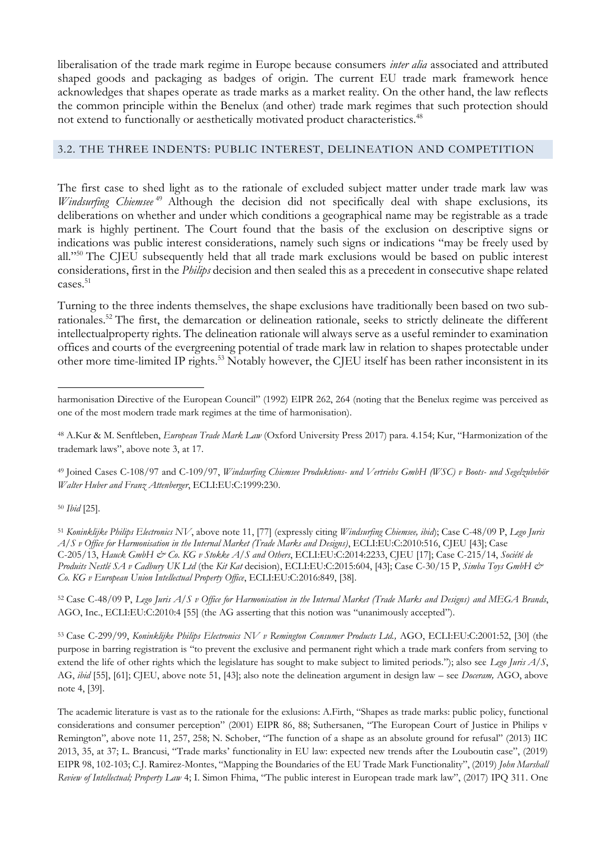liberalisation of the trade mark regime in Europe because consumers *inter alia* associated and attributed shaped goods and packaging as badges of origin. The current EU trade mark framework hence acknowledges that shapes operate as trade marks as a market reality. On the other hand, the law reflects the common principle within the Benelux (and other) trade mark regimes that such protection should not extend to functionally or aesthetically motivated product characteristics.<sup>48</sup>

#### 3.2. THE THREE INDENTS: PUBLIC INTEREST, DELINEATION AND COMPETITION

The first case to shed light as to the rationale of excluded subject matter under trade mark law was *Windsurfing Chiemsee* <sup>49</sup> Although the decision did not specifically deal with shape exclusions, its deliberations on whether and under which conditions a geographical name may be registrable as a trade mark is highly pertinent. The Court found that the basis of the exclusion on descriptive signs or indications was public interest considerations, namely such signs or indications "may be freely used by all."<sup>50</sup> The CJEU subsequently held that all trade mark exclusions would be based on public interest considerations, first in the *Philips* decision and then sealed this as a precedent in consecutive shape related cases.<sup>51</sup>

Turning to the three indents themselves, the shape exclusions have traditionally been based on two subrationales.<sup>52</sup> The first, the demarcation or delineation rationale, seeks to strictly delineate the different intellectualproperty rights. The delineation rationale will always serve as a useful reminder to examination offices and courts of the evergreening potential of trade mark law in relation to shapes protectable under other more time-limited IP rights.<sup>53</sup> Notably however, the CJEU itself has been rather inconsistent in its

<sup>50</sup> *Ibid* [25].

<sup>52</sup> Case C-48/09 P, *Lego Juris A/S v Office for Harmonisation in the Internal Market (Trade Marks and Designs) and MEGA Brands*, AGO, Inc., ECLI:EU:C:2010:4 [55] (the AG asserting that this notion was "unanimously accepted").

<sup>53</sup> Case C-299/99, *Koninklijke Philips Electronics NV v Remington Consumer Products Ltd.,* AGO, ECLI:EU:C:2001:52, [30] (the purpose in barring registration is "to prevent the exclusive and permanent right which a trade mark confers from serving to extend the life of other rights which the legislature has sought to make subject to limited periods."); also see *Lego Juris A/S*, AG, *ibid* [55], [61]; CJEU, above note 51, [43]; also note the delineation argument in design law – see *Doceram,* AGO, above note 4, [39].

The academic literature is vast as to the rationale for the exlusions: A.Firth, "Shapes as trade marks: public policy, functional considerations and consumer perception" (2001) EIPR 86, 88; Suthersanen, "The European Court of Justice in Philips v Remington", above note 11, 257, 258; N. Schober, "The function of a shape as an absolute ground for refusal" (2013) IIC 2013, 35, at 37; L. Brancusi, "Trade marks' functionality in EU law: expected new trends after the Louboutin case", (2019) EIPR 98, 102-103; C.J. Ramirez-Montes, "Mapping the Boundaries of the EU Trade Mark Functionality", (2019) *John Marshall Review of Intellectual; Property Law* 4; I. Simon Fhima, "The public interest in European trade mark law", (2017) IPQ 311. One

harmonisation Directive of the European Council" (1992) EIPR 262, 264 (noting that the Benelux regime was perceived as one of the most modern trade mark regimes at the time of harmonisation).

<sup>48</sup> A.Kur & M. Senftleben, *European Trade Mark Law* (Oxford University Press 2017) para. 4.154; Kur, "Harmonization of the trademark laws", above note 3, at 17.

<sup>49</sup> Joined Cases C-108/97 and C-109/97, *Windsurfing Chiemsee Produktions- und Vertriebs GmbH (WSC) v Boots- und Segelzubehör Walter Huber and Franz Attenberger*, ECLI:EU:C:1999:230.

<sup>51</sup> *Koninklijke Philips Electronics NV*, above note 11, [77] (expressly citing *Windsurfing Chiemsee, ibid*); Case C-48/09 P, *Lego Juris A/S v Office for Harmonisation in the Internal Market (Trade Marks and Designs)*, ECLI:EU:C:2010:516, CJEU [43]; Case C-205/13, *Hauck GmbH & Co. KG v Stokke A/S and Others*, ECLI:EU:C:2014:2233, CJEU [17]; Case C-215/14, *Société de Produits Nestlé SA v Cadbury UK Ltd* (the *Kit Kat* decision), ECLI:EU:C:2015:604, [43]; Case C-30/15 P, *Simba Toys GmbH & Co. KG v European Union Intellectual Property Office*, ECLI:EU:C:2016:849, [38].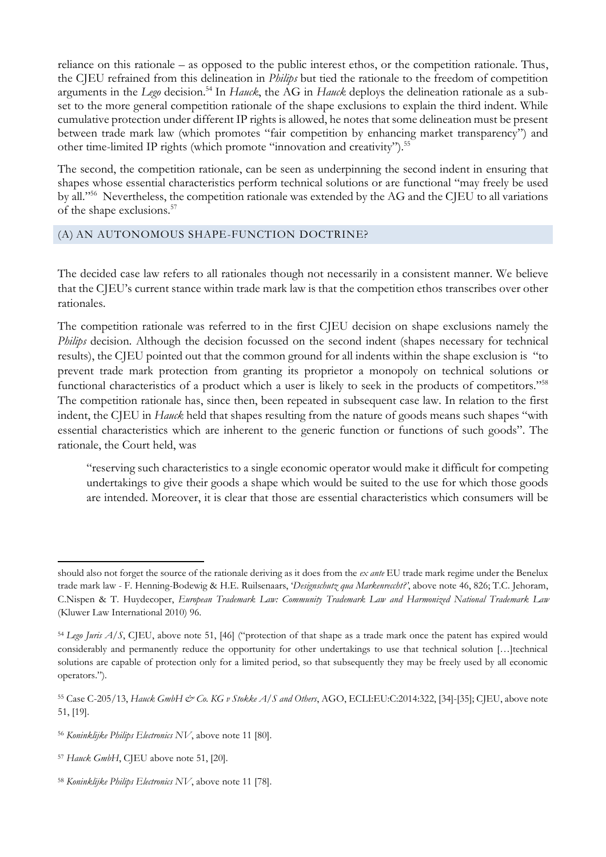reliance on this rationale – as opposed to the public interest ethos, or the competition rationale. Thus, the CJEU refrained from this delineation in *Philips* but tied the rationale to the freedom of competition arguments in the *Lego* decision.<sup>54</sup> In *Hauck*, the AG in *Hauck* deploys the delineation rationale as a subset to the more general competition rationale of the shape exclusions to explain the third indent. While cumulative protection under different IP rights is allowed, he notes that some delineation must be present between trade mark law (which promotes "fair competition by enhancing market transparency") and other time-limited IP rights (which promote "innovation and creativity").<sup>55</sup>

The second, the competition rationale, can be seen as underpinning the second indent in ensuring that shapes whose essential characteristics perform technical solutions or are functional "may freely be used by all."<sup>56</sup> Nevertheless, the competition rationale was extended by the AG and the CJEU to all variations of the shape exclusions.<sup>57</sup>

#### (A) AN AUTONOMOUS SHAPE-FUNCTION DOCTRINE?

The decided case law refers to all rationales though not necessarily in a consistent manner. We believe that the CJEU's current stance within trade mark law is that the competition ethos transcribes over other rationales.

The competition rationale was referred to in the first CJEU decision on shape exclusions namely the *Philips* decision. Although the decision focussed on the second indent (shapes necessary for technical results), the CJEU pointed out that the common ground for all indents within the shape exclusion is "to prevent trade mark protection from granting its proprietor a monopoly on technical solutions or functional characteristics of a product which a user is likely to seek in the products of competitors."<sup>58</sup> The competition rationale has, since then, been repeated in subsequent case law. In relation to the first indent, the CJEU in *Hauck* held that shapes resulting from the nature of goods means such shapes "with essential characteristics which are inherent to the generic function or functions of such goods". The rationale, the Court held, was

"reserving such characteristics to a single economic operator would make it difficult for competing undertakings to give their goods a shape which would be suited to the use for which those goods are intended. Moreover, it is clear that those are essential characteristics which consumers will be

should also not forget the source of the rationale deriving as it does from the *ex ante* EU trade mark regime under the Benelux trade mark law - F. Henning-Bodewig & H.E. Ruilsenaars, '*Designschutz qua Markenreccht?'*, above note 46, 826; T.C. Jehoram, C.Nispen & T. Huydecoper, *European Trademark Law: Community Trademark Law and Harmonized National Trademark Law* (Kluwer Law International 2010) 96.

<sup>&</sup>lt;sup>54</sup> *Lego Juris A/S*, CJEU, above note 51, [46] ("protection of that shape as a trade mark once the patent has expired would considerably and permanently reduce the opportunity for other undertakings to use that technical solution […]technical solutions are capable of protection only for a limited period, so that subsequently they may be freely used by all economic operators.").

<sup>55</sup> Case C-205/13, *Hauck GmbH & Co. KG v Stokke A/S and Others*, AGO, ECLI:EU:C:2014:322, [34]-[35]; CJEU, above note 51, [19].

<sup>56</sup> *Koninklijke Philips Electronics NV*, above note 11 [80].

<sup>&</sup>lt;sup>57</sup> Hauck GmbH, CJEU above note 51, [20].

<sup>58</sup> *Koninklijke Philips Electronics NV*, above note 11 [78].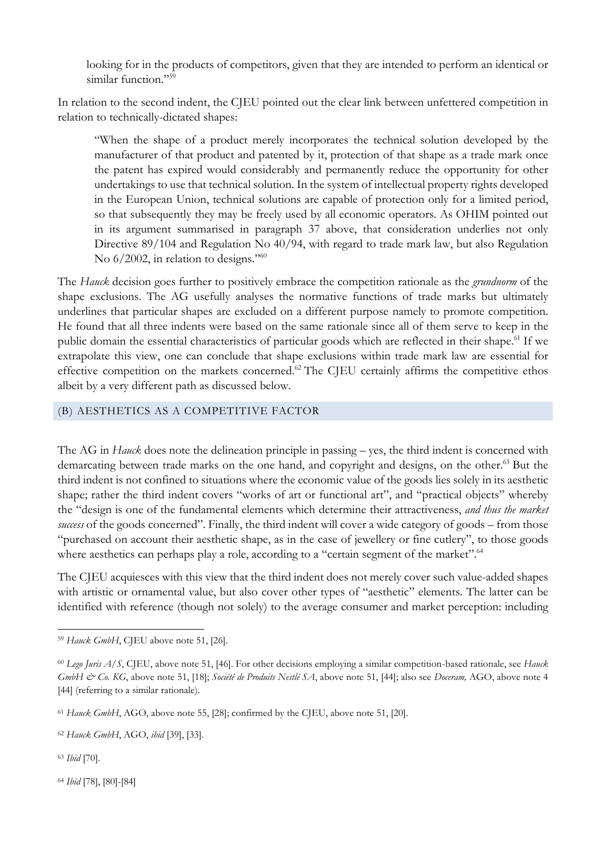looking for in the products of competitors, given that they are intended to perform an identical or similar function."<sup>59</sup>

In relation to the second indent, the CJEU pointed out the clear link between unfettered competition in relation to technically-dictated shapes:

"When the shape of a product merely incorporates the technical solution developed by the manufacturer of that product and patented by it, protection of that shape as a trade mark once the patent has expired would considerably and permanently reduce the opportunity for other undertakings to use that technical solution. In the system of intellectual property rights developed in the European Union, technical solutions are capable of protection only for a limited period, so that subsequently they may be freely used by all economic operators. As OHIM pointed out in its argument summarised in paragraph 37 above, that consideration underlies not only Directive 89/104 and Regulation No 40/94, with regard to trade mark law, but also Regulation No 6/2002, in relation to designs." 60

The *Hauck* decision goes further to positively embrace the competition rationale as the *grundnorm* of the shape exclusions. The AG usefully analyses the normative functions of trade marks but ultimately underlines that particular shapes are excluded on a different purpose namely to promote competition. He found that all three indents were based on the same rationale since all of them serve to keep in the public domain the essential characteristics of particular goods which are reflected in their shape. <sup>61</sup> If we extrapolate this view, one can conclude that shape exclusions within trade mark law are essential for effective competition on the markets concerned.<sup>62</sup> The CJEU certainly affirms the competitive ethos albeit by a very different path as discussed below.

#### (B) AESTHETICS AS A COMPETITIVE FACTOR

The AG in *Hauck* does note the delineation principle in passing – yes, the third indent is concerned with demarcating between trade marks on the one hand, and copyright and designs, on the other.<sup>63</sup> But the third indent is not confined to situations where the economic value of the goods lies solely in its aesthetic shape; rather the third indent covers "works of art or functional art", and "practical objects" whereby the "design is one of the fundamental elements which determine their attractiveness, *and thus the market success* of the goods concerned". Finally, the third indent will cover a wide category of goods – from those "purchased on account their aesthetic shape, as in the case of jewellery or fine cutlery", to those goods where aesthetics can perhaps play a role, according to a "certain segment of the market".<sup>64</sup>

The CJEU acquiesces with this view that the third indent does not merely cover such value-added shapes with artistic or ornamental value, but also cover other types of "aesthetic" elements. The latter can be identified with reference (though not solely) to the average consumer and market perception: including

<sup>63</sup> *Ibid* [70].

<sup>64</sup> *Ibid* [78], [80]-[84]

<sup>59</sup> *Hauck GmbH*, CJEU above note 51, [26].

<sup>60</sup> *Lego Juris A/S*, CJEU, above note 51, [46]. For other decisions employing a similar competition-based rationale, see *Hauck GmbH & Co. KG*, above note 51, [18]; *Société de Produits Nestlé SA*, above note 51, [44]; also see *Doceram,* AGO, above note 4 [44] (referring to a similar rationale).

<sup>&</sup>lt;sup>61</sup> *Hauck GmbH*, AGO, above note 55, [28]; confirmed by the CJEU, above note 51, [20].

<sup>62</sup> *Hauck GmbH*, AGO, *ibid* [39], [33].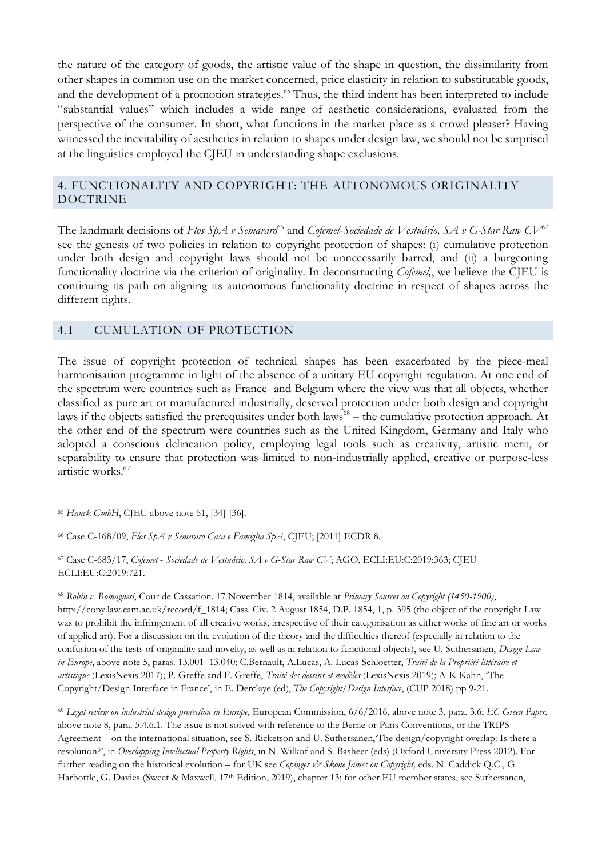the nature of the category of goods, the artistic value of the shape in question, the dissimilarity from other shapes in common use on the market concerned, price elasticity in relation to substitutable goods, and the development of a promotion strategies. <sup>65</sup> Thus, the third indent has been interpreted to include "substantial values" which includes a wide range of aesthetic considerations, evaluated from the perspective of the consumer. In short, what functions in the market place as a crowd pleaser? Having witnessed the inevitability of aesthetics in relation to shapes under design law, we should not be surprised at the linguistics employed the CJEU in understanding shape exclusions.

## 4. FUNCTIONALITY AND COPYRIGHT: THE AUTONOMOUS ORIGINALITY DOCTRINE

The landmark decisions of *Flos SpA v Semararo*<sup>66</sup> and *Cofemel-Sociedade de Vestuário, SA v G-Star Raw CV*<sup>67</sup> see the genesis of two policies in relation to copyright protection of shapes: (i) cumulative protection under both design and copyright laws should not be unnecessarily barred, and (ii) a burgeoning functionality doctrine via the criterion of originality. In deconstructing *Cofemel,*, we believe the CJEU is continuing its path on aligning its autonomous functionality doctrine in respect of shapes across the different rights.

#### 4.1 CUMULATION OF PROTECTION

The issue of copyright protection of technical shapes has been exacerbated by the piece-meal harmonisation programme in light of the absence of a unitary EU copyright regulation. At one end of the spectrum were countries such as France and Belgium where the view was that all objects, whether classified as pure art or manufactured industrially, deserved protection under both design and copyright laws if the objects satisfied the prerequisites under both laws<sup>68</sup> – the cumulative protection approach. At the other end of the spectrum were countries such as the United Kingdom, Germany and Italy who adopted a conscious delineation policy, employing legal tools such as creativity, artistic merit, or separability to ensure that protection was limited to non-industrially applied, creative or purpose-less artistic works.<sup>69</sup>

<sup>68</sup> *Robin v. Romagnesi*, Cour de Cassation. 17 November 1814, available at *Primary Sources on Copyright (1450-1900)*, [http://copy.law.cam.ac.uk/record/f\\_1814;](http://copy.law.cam.ac.uk/record/f_1814) Cass. Civ. 2 August 1854, D.P. 1854, 1, p. 395 (the object of the copyright Law was to prohibit the infringement of all creative works, irrespective of their categorisation as either works of fine art or works of applied art). For a discussion on the evolution of the theory and the difficulties thereof (especially in relation to the confusion of the tests of originality and novelty, as well as in relation to functional objects), see U. Suthersanen, *Design Law in Europe*, above note 5, paras. 13.001–13.040; C.Bernault, A.Lucas, A. Lucas-Schloetter, *Traité de la Propriété littéraire et artistique* (LexisNexis 2017); P. Greffe and F. Greffe, *Traité des dessins et modèles* (LexisNexis 2019); A-K Kahn, 'The Copyright/Design Interface in France', in E. Derclaye (ed), *The Copyright/Design Interface*, (CUP 2018) pp 9-21.

<sup>69</sup> *Legal review on industrial design protection in Europe,* European Commission, 6/6/2016, above note 3, para. 3.6; *EC Green Paper*, above note 8, para. 5.4.6.1. The issue is not solved with reference to the Berne or Paris Conventions, or the TRIPS Agreement – on the international situation, see S. Ricketson and U. Suthersanen,'The design/copyright overlap: Is there a resolution?', in *Overlapping Intellectual Property Rights*, in N. Wilkof and S. Basheer (eds) (Oxford University Press 2012). For further reading on the historical evolution – for UK see *Copinger & Skone James on Copyright,* eds. N. Caddick Q.C., G. Harbottle, G. Davies (Sweet & Maxwell, 17<sup>th</sup> Edition, 2019), chapter 13; for other EU member states, see Suthersanen,

<sup>65</sup> *Hauck GmbH*, CJEU above note 51, [34]-[36].

<sup>66</sup> Case C-168/09, *Flos SpA v Semeraro Casa e Famiglia SpA*, CJEU; [2011] ECDR 8.

<sup>67</sup> Case C-683/17, *Cofemel* - *Sociedade de Vestuário, SA v G-Star Raw CV*; AGO, ECLI:EU:C:2019:363; CJEU ECLI:EU:C:2019:721.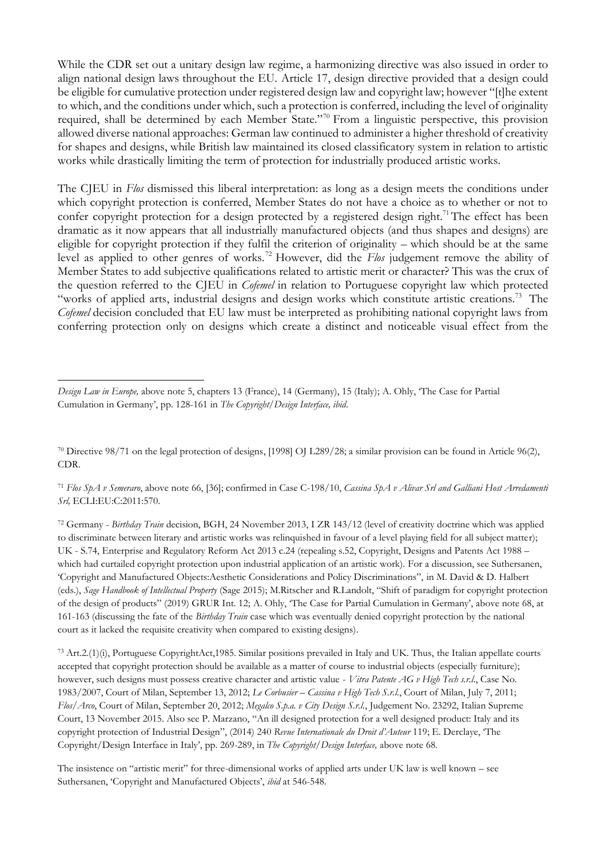While the CDR set out a unitary design law regime, a harmonizing directive was also issued in order to align national design laws throughout the EU. Article 17, design directive provided that a design could be eligible for cumulative protection under registered design law and copyright law; however "[t]he extent to which, and the conditions under which, such a protection is conferred, including the level of originality required, shall be determined by each Member State."<sup>70</sup> From a linguistic perspective, this provision allowed diverse national approaches: German law continued to administer a higher threshold of creativity for shapes and designs, while British law maintained its closed classificatory system in relation to artistic works while drastically limiting the term of protection for industrially produced artistic works.

The CJEU in *Flos* dismissed this liberal interpretation: as long as a design meets the conditions under which copyright protection is conferred, Member States do not have a choice as to whether or not to confer copyright protection for a design protected by a registered design right.<sup>71</sup>The effect has been dramatic as it now appears that all industrially manufactured objects (and thus shapes and designs) are eligible for copyright protection if they fulfil the criterion of originality – which should be at the same level as applied to other genres of works.<sup>72</sup> However, did the *Flos* judgement remove the ability of Member States to add subjective qualifications related to artistic merit or character? This was the crux of the question referred to the CJEU in *Cofemel* in relation to Portuguese copyright law which protected "works of applied arts, industrial designs and design works which constitute artistic creations.<sup>73</sup> The *Cofemel* decision concluded that EU law must be interpreted as prohibiting national copyright laws from conferring protection only on designs which create a distinct and noticeable visual effect from the

<sup>71</sup> *Flos SpA v Semeraro*, above note 66, [36]; confirmed in Case C-198/10, *Cassina SpA v Alivar Srl and Galliani Host Arredamenti Srl,* ECLI:EU:C:2011:570.

<sup>72</sup> Germany - *Birthday Train* decision, BGH, 24 November 2013, I ZR 143/12 (level of creativity doctrine which was applied to discriminate between literary and artistic works was relinquished in favour of a level playing field for all subject matter); UK - S.74, Enterprise and Regulatory Reform Act 2013 c.24 (repealing s.52, Copyright, Designs and Patents Act 1988 – which had curtailed copyright protection upon industrial application of an artistic work). For a discussion, see Suthersanen, 'Copyright and Manufactured Objects:Aesthetic Considerations and Policy Discriminations", in M. David & D. Halbert (eds.), *Sage Handbook of Intellectual Property* (Sage 2015); M.Ritscher and R.Landolt, "Shift of paradigm for copyright protection of the design of products" (2019) GRUR Int. 12; A. Ohly, 'The Case for Partial Cumulation in Germany', above note 68, at 161-163 (discussing the fate of the *Birthday Train* case which was eventually denied copyright protection by the national court as it lacked the requisite creativity when compared to existing designs)*.*

<sup>73</sup> Art.2.(1)(i), Portuguese CopyrightAct,1985. Similar positions prevailed in Italy and UK. Thus, the Italian appellate courts accepted that copyright protection should be available as a matter of course to industrial objects (especially furniture); however, such designs must possess creative character and artistic value - *Vitra Patente AG v High Tech s.r.l*., Case No. 1983/2007, Court of Milan, September 13, 2012; *Le Corbusier* – *Cassina v High Tech S.r.l*., Court of Milan, July 7, 2011; *Flos/Arco*, Court of Milan, September 20, 2012; *Megalco S.p.a. v City Design S.r.l.*, Judgement No. 23292, Italian Supreme Court, 13 November 2015. Also see P. Marzano, "An ill designed protection for a well designed product: Italy and its copyright protection of Industrial Design", (2014) 240 *Revue Internationale du Droit d'Auteur* 119; E. Derclaye, 'The Copyright/Design Interface in Italy', pp. 269-289, in *The Copyright/Design Interface,* above note 68*.* 

The insistence on "artistic merit" for three-dimensional works of applied arts under UK law is well known – see Suthersanen, 'Copyright and Manufactured Objects', *ibid* at 546-548.

*Design Law in Europe,* above note 5, chapters 13 (France), 14 (Germany), 15 (Italy); A. Ohly, 'The Case for Partial Cumulation in Germany', pp. 128-161 in *The Copyright/Design Interface, ibid*.

<sup>70</sup> Directive 98/71 on the legal protection of designs, [1998] OJ L289/28; a similar provision can be found in Article 96(2), CDR.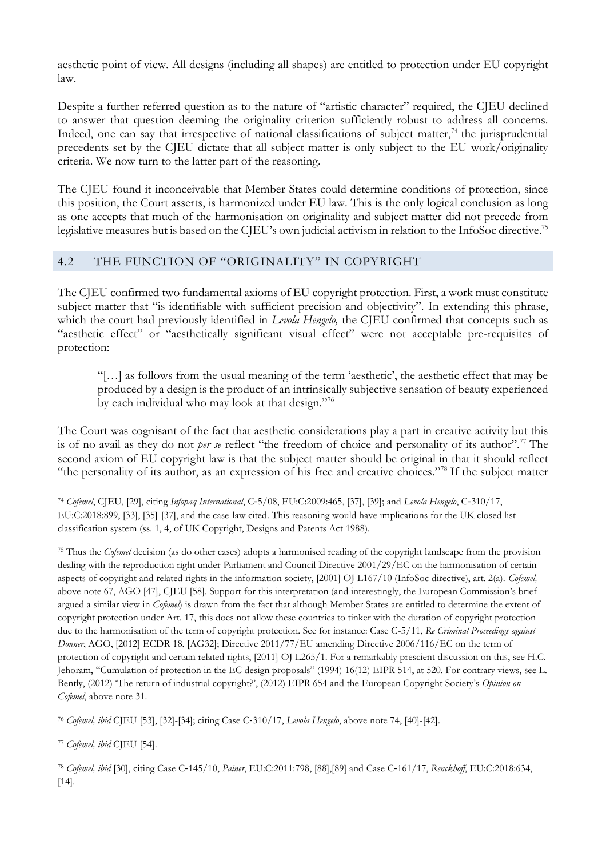aesthetic point of view. All designs (including all shapes) are entitled to protection under EU copyright law.

Despite a further referred question as to the nature of "artistic character" required, the CJEU declined to answer that question deeming the originality criterion sufficiently robust to address all concerns. Indeed, one can say that irrespective of national classifications of subject matter,<sup>74</sup> the jurisprudential precedents set by the CJEU dictate that all subject matter is only subject to the EU work/originality criteria. We now turn to the latter part of the reasoning.

The CJEU found it inconceivable that Member States could determine conditions of protection, since this position, the Court asserts, is harmonized under EU law. This is the only logical conclusion as long as one accepts that much of the harmonisation on originality and subject matter did not precede from legislative measures but is based on the CJEU's own judicial activism in relation to the InfoSoc directive.<sup>75</sup>

# 4.2 THE FUNCTION OF "ORIGINALITY" IN COPYRIGHT

The CJEU confirmed two fundamental axioms of EU copyright protection. First, a work must constitute subject matter that "is identifiable with sufficient precision and objectivity". In extending this phrase, which the court had previously identified in *Levola Hengelo,* the CJEU confirmed that concepts such as "aesthetic effect" or "aesthetically significant visual effect" were not acceptable pre-requisites of protection:

"[…] as follows from the usual meaning of the term 'aesthetic', the aesthetic effect that may be produced by a design is the product of an intrinsically subjective sensation of beauty experienced by each individual who may look at that design."<sup>76</sup>

The Court was cognisant of the fact that aesthetic considerations play a part in creative activity but this is of no avail as they do not *per se* reflect "the freedom of choice and personality of its author".<sup>77</sup> The second axiom of EU copyright law is that the subject matter should be original in that it should reflect "the personality of its author, as an expression of his free and creative choices."<sup>78</sup> If the subject matter

<sup>76</sup> *Cofemel, ibid* CJEU [53], [32]-[34]; citing Case C‑310/17, *Levola Hengelo*, above note 74, [40]-[42].

<sup>77</sup> *Cofemel, ibid* CJEU [54].

<sup>78</sup> *Cofemel, ibid* [30], citing Case C‑145/10, *Painer*, EU:C:2011:798, [88],[89] and Case C‑161/17, *Renckhoff*, EU:C:2018:634, [14].

<sup>74</sup> *Cofemel*, CJEU, [29], citing *Infopaq International*, C‑5/08, EU:C:2009:465, [37], [39]; and *Levola Hengelo*, C‑310/17, EU:C:2018:899, [33], [35]-[37], and the case-law cited. This reasoning would have implications for the UK closed list classification system (ss. 1, 4, of UK Copyright, Designs and Patents Act 1988).

<sup>75</sup> Thus the *Cofemel* decision (as do other cases) adopts a harmonised reading of the copyright landscape from the provision dealing with the reproduction right under Parliament and Council Directive 2001/29/EC on the harmonisation of certain aspects of copyright and related rights in the information society, [2001] OJ L167/10 (InfoSoc directive), art. 2(a). *Cofemel,*  above note 67, AGO [47], CJEU [58]. Support for this interpretation (and interestingly, the European Commission's brief argued a similar view in *Cofemel*) is drawn from the fact that although Member States are entitled to determine the extent of copyright protection under Art. 17, this does not allow these countries to tinker with the duration of copyright protection due to the harmonisation of the term of copyright protection. See for instance: Case C-5/11, *Re Criminal Proceedings against Donner*, AGO, [2012] ECDR 18, [AG32]; Directive 2011/77/EU amending Directive 2006/116/EC on the term of protection of copyright and certain related rights, [2011] OJ L265/1. For a remarkably prescient discussion on this, see H.C. Jehoram, "Cumulation of protection in the EC design proposals" (1994) 16(12) EIPR 514, at 520. For contrary views, see L. Bently, (2012) 'The return of industrial copyright?', (2012) EIPR 654 and the European Copyright Society's *Opinion on Cofemel*, above note 31.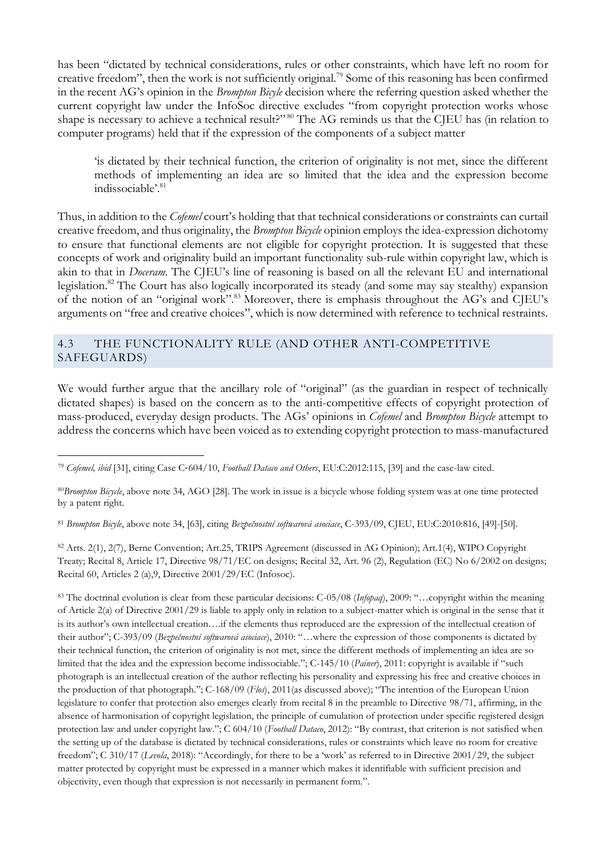has been "dictated by technical considerations, rules or other constraints, which have left no room for creative freedom", then the work is not sufficiently original.<sup>79</sup> Some of this reasoning has been confirmed in the recent AG's opinion in the *Brompton Bicyle* decision where the referring question asked whether the current copyright law under the InfoSoc directive excludes "from copyright protection works whose shape is necessary to achieve a technical result?"<sup>80</sup> The AG reminds us that the CJEU has (in relation to computer programs) held that if the expression of the components of a subject matter

'is dictated by their technical function, the criterion of originality is not met, since the different methods of implementing an idea are so limited that the idea and the expression become indissociable'.<sup>81</sup>

Thus, in addition to the *Cofemel* court's holding that that technical considerations or constraints can curtail creative freedom, and thus originality, the *Brompton Bicycle* opinion employs the idea-expression dichotomy to ensure that functional elements are not eligible for copyright protection. It is suggested that these concepts of work and originality build an important functionality sub-rule within copyright law, which is akin to that in *Doceram.* The CJEU's line of reasoning is based on all the relevant EU and international legislation. <sup>82</sup> The Court has also logically incorporated its steady (and some may say stealthy) expansion of the notion of an "original work".<sup>83</sup> Moreover, there is emphasis throughout the AG's and CJEU's arguments on "free and creative choices", which is now determined with reference to technical restraints.

## 4.3 THE FUNCTIONALITY RULE (AND OTHER ANTI-COMPETITIVE SAFEGUARDS)

We would further argue that the ancillary role of "original" (as the guardian in respect of technically dictated shapes) is based on the concern as to the anti-competitive effects of copyright protection of mass-produced, everyday design products. The AGs' opinions in *Cofemel* and *Brompton Bicycle* attempt to address the concerns which have been voiced as to extending copyright protection to mass-manufactured

<sup>81</sup> *Brompton Bicyle*, above note 34, [63], citing *Bezpečnostní softwarová asociace*, C-393/09, CJEU, EU:C:2010:816, [49]-[50].

82 Arts. 2(1), 2(7), Berne Convention; Art.25, TRIPS Agreement (discussed in AG Opinion); Art.1(4), WIPO Copyright Treaty; Recital 8, Article 17, Directive 98/71/EC on designs; Recital 32, Art. 96 (2), Regulation (EC) No 6/2002 on designs; Recital 60, Articles 2 (a),9, Directive 2001/29/EC (Infosoc).

<sup>83</sup> The doctrinal evolution is clear from these particular decisions: C-05/08 (*Infopaq*), 2009: "…copyright within the meaning of Article 2(a) of Directive 2001/29 is liable to apply only in relation to a subject-matter which is original in the sense that it is its author's own intellectual creation….if the elements thus reproduced are the expression of the intellectual creation of their author"; C-393/09 (*Bezpečnostní softwarová asociace*), 2010: "…where the expression of those components is dictated by their technical function, the criterion of originality is not met, since the different methods of implementing an idea are so limited that the idea and the expression become indissociable."; C-145/10 (*Painer*), 2011: copyright is available if "such photograph is an intellectual creation of the author reflecting his personality and expressing his free and creative choices in the production of that photograph."; C-168/09 (*Flos*), 2011(as discussed above); "The intention of the European Union legislature to confer that protection also emerges clearly from recital 8 in the preamble to Directive 98/71, affirming, in the absence of harmonisation of copyright legislation, the principle of cumulation of protection under specific registered design protection law and under copyright law."; C 604/10 (*Football Dataco*, 2012): "By contrast, that criterion is not satisfied when the setting up of the database is dictated by technical considerations, rules or constraints which leave no room for creative freedom"; C 310/17 (*Levola*, 2018): "Accordingly, for there to be a 'work' as referred to in Directive 2001/29, the subject matter protected by copyright must be expressed in a manner which makes it identifiable with sufficient precision and objectivity, even though that expression is not necessarily in permanent form.".

<sup>79</sup> *Cofemel, ibid* [31], citing Case C‑604/10, *Football Dataco and Others*, EU:C:2012:115, [39] and the case-law cited.

<sup>80</sup>*Brompton Bicycle*, above note 34, AGO [28]. The work in issue is a bicycle whose folding system was at one time protected by a patent right.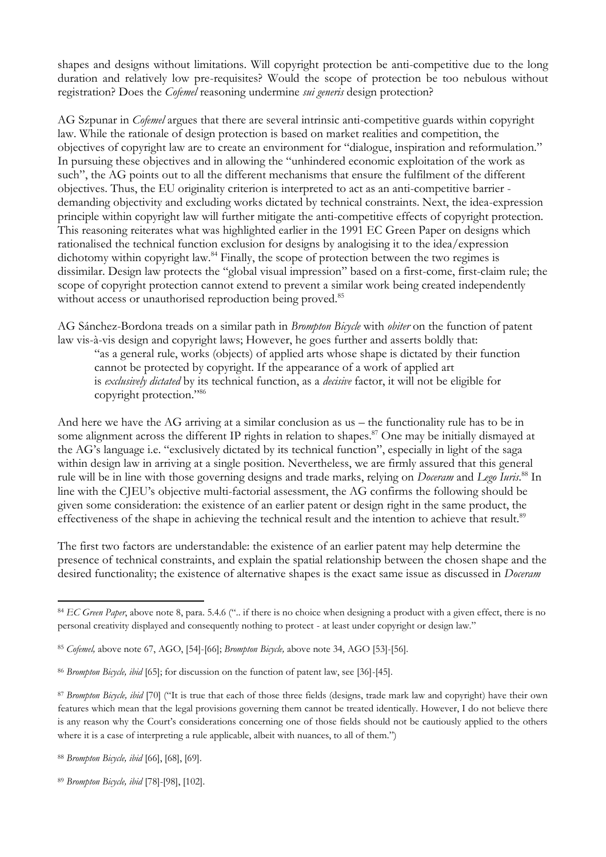shapes and designs without limitations. Will copyright protection be anti-competitive due to the long duration and relatively low pre-requisites? Would the scope of protection be too nebulous without registration? Does the *Cofemel* reasoning undermine *sui generis* design protection?

AG Szpunar in *Cofemel* argues that there are several intrinsic anti-competitive guards within copyright law. While the rationale of design protection is based on market realities and competition, the objectives of copyright law are to create an environment for "dialogue, inspiration and reformulation." In pursuing these objectives and in allowing the "unhindered economic exploitation of the work as such", the AG points out to all the different mechanisms that ensure the fulfilment of the different objectives. Thus, the EU originality criterion is interpreted to act as an anti-competitive barrier demanding objectivity and excluding works dictated by technical constraints. Next, the idea-expression principle within copyright law will further mitigate the anti-competitive effects of copyright protection. This reasoning reiterates what was highlighted earlier in the 1991 EC Green Paper on designs which rationalised the technical function exclusion for designs by analogising it to the idea/expression dichotomy within copyright law.<sup>84</sup> Finally, the scope of protection between the two regimes is dissimilar. Design law protects the "global visual impression" based on a first-come, first-claim rule; the scope of copyright protection cannot extend to prevent a similar work being created independently without access or unauthorised reproduction being proved.<sup>85</sup>

AG Sánchez-Bordona treads on a similar path in *Brompton Bicycle* with *obiter* on the function of patent law vis-à-vis design and copyright laws; However, he goes further and asserts boldly that:

"as a general rule, works (objects) of applied arts whose shape is dictated by their function cannot be protected by copyright. If the appearance of a work of applied art is *exclusively dictated* by its technical function, as a *decisive* factor, it will not be eligible for copyright protection."<sup>86</sup>

And here we have the AG arriving at a similar conclusion as us – the functionality rule has to be in some alignment across the different IP rights in relation to shapes.<sup>87</sup> One may be initially dismayed at the AG's language i.e. "exclusively dictated by its technical function", especially in light of the saga within design law in arriving at a single position. Nevertheless, we are firmly assured that this general rule will be in line with those governing designs and trade marks, relying on *Doceram* and *Lego Iuris*. <sup>88</sup> In line with the CJEU's objective multi-factorial assessment, the AG confirms the following should be given some consideration: the existence of an earlier patent or design right in the same product, the effectiveness of the shape in achieving the technical result and the intention to achieve that result.<sup>89</sup>

The first two factors are understandable: the existence of an earlier patent may help determine the presence of technical constraints, and explain the spatial relationship between the chosen shape and the desired functionality; the existence of alternative shapes is the exact same issue as discussed in *Doceram* 

<sup>&</sup>lt;sup>84</sup> *EC Green Paper*, above note 8, para. 5.4.6 (".. if there is no choice when designing a product with a given effect, there is no personal creativity displayed and consequently nothing to protect - at least under copyright or design law."

<sup>85</sup> *Cofemel,* above note 67, AGO, [54]-[66]; *Brompton Bicycle,* above note 34, AGO [53]-[56].

<sup>86</sup> *Brompton Bicycle, ibid* [65]; for discussion on the function of patent law, see [36]-[45].

<sup>87</sup> *Brompton Bicycle, ibid* [70] ("It is true that each of those three fields (designs, trade mark law and copyright) have their own features which mean that the legal provisions governing them cannot be treated identically. However, I do not believe there is any reason why the Court's considerations concerning one of those fields should not be cautiously applied to the others where it is a case of interpreting a rule applicable, albeit with nuances, to all of them.")

<sup>88</sup> *Brompton Bicycle, ibid* [66], [68], [69].

<sup>89</sup> *Brompton Bicycle, ibid* [78]-[98], [102].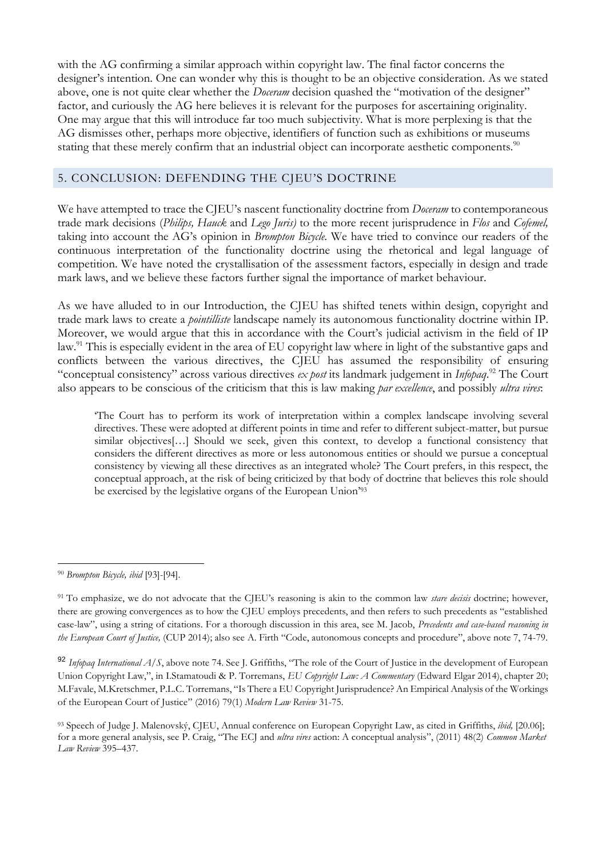with the AG confirming a similar approach within copyright law. The final factor concerns the designer's intention. One can wonder why this is thought to be an objective consideration. As we stated above, one is not quite clear whether the *Doceram* decision quashed the "motivation of the designer" factor, and curiously the AG here believes it is relevant for the purposes for ascertaining originality. One may argue that this will introduce far too much subjectivity. What is more perplexing is that the AG dismisses other, perhaps more objective, identifiers of function such as exhibitions or museums stating that these merely confirm that an industrial object can incorporate aesthetic components.<sup>90</sup>

## 5. CONCLUSION: DEFENDING THE CJEU'S DOCTRINE

We have attempted to trace the CJEU's nascent functionality doctrine from *Doceram* to contemporaneous trade mark decisions (*Philips, Hauck* and *Lego Juris)* to the more recent jurisprudence in *Flos* and *Cofemel,* taking into account the AG's opinion in *Brompton Bicycle.* We have tried to convince our readers of the continuous interpretation of the functionality doctrine using the rhetorical and legal language of competition. We have noted the crystallisation of the assessment factors, especially in design and trade mark laws, and we believe these factors further signal the importance of market behaviour.

As we have alluded to in our Introduction, the CJEU has shifted tenets within design, copyright and trade mark laws to create a *pointilliste* landscape namely its autonomous functionality doctrine within IP. Moreover, we would argue that this in accordance with the Court's judicial activism in the field of IP law. <sup>91</sup> This is especially evident in the area of EU copyright law where in light of the substantive gaps and conflicts between the various directives, the CJEU has assumed the responsibility of ensuring "conceptual consistency" across various directives *ex post* its landmark judgement in *Infopaq*. <sup>92</sup> The Court also appears to be conscious of the criticism that this is law making *par excellence*, and possibly *ultra vires*:

'The Court has to perform its work of interpretation within a complex landscape involving several directives. These were adopted at different points in time and refer to different subject-matter, but pursue similar objectives[…] Should we seek, given this context, to develop a functional consistency that considers the different directives as more or less autonomous entities or should we pursue a conceptual consistency by viewing all these directives as an integrated whole? The Court prefers, in this respect, the conceptual approach, at the risk of being criticized by that body of doctrine that believes this role should be exercised by the legislative organs of the European Union'<sup>93</sup>

<sup>92</sup> *Infopaq International A/S*, above note 74. See J. Griffiths, "The role of the Court of Justice in the development of European Union Copyright Law,", in I.Stamatoudi & P. Torremans, *EU Copyright Law: A Commentary* (Edward Elgar 2014), chapter 20; M.Favale, M.Kretschmer, P.L.C. Torremans, "Is There a EU Copyright Jurisprudence? An Empirical Analysis of the Workings of the European Court of Justice" (2016) 79(1) *Modern Law Review* 31-75.

<sup>90</sup> *Brompton Bicycle, ibid* [93]-[94].

<sup>91</sup> To emphasize, we do not advocate that the CJEU's reasoning is akin to the common law *stare decisis* doctrine; however, there are growing convergences as to how the CJEU employs precedents, and then refers to such precedents as "established case-law", using a string of citations. For a thorough discussion in this area, see M. Jacob, *Precedents and case-based reasoning in the European Court of Justice,* (CUP 2014); also see A. Firth "Code, autonomous concepts and procedure", above note 7, 74-79.

<sup>93</sup> Speech of Judge J. Malenovský, CJEU, Annual conference on European Copyright Law, as cited in Griffiths, *ibid,* [20.06]; for a more general analysis, see P. Craig, "The ECJ and *ultra vires* action: A conceptual analysis", (2011) 48(2) *Common Market Law Review* 395–437.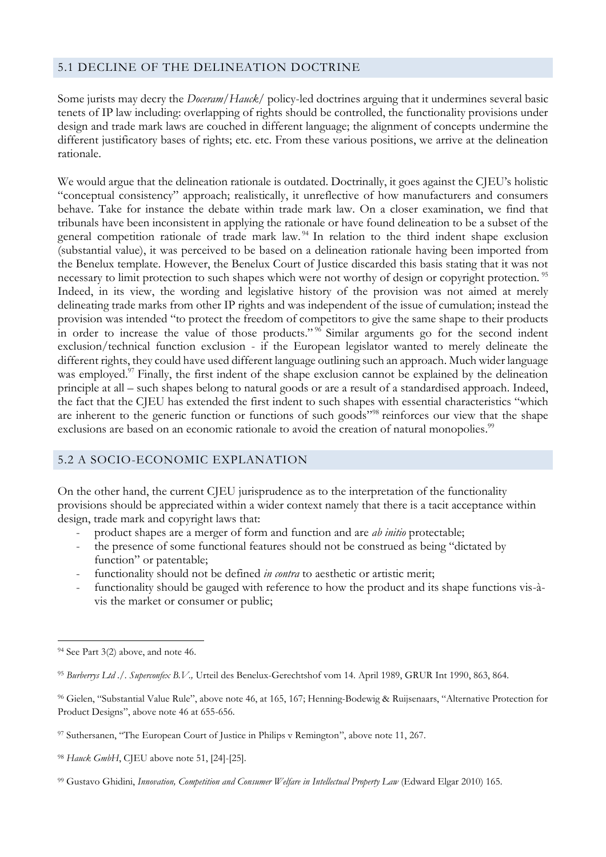## 5.1 DECLINE OF THE DELINEATION DOCTRINE

Some jurists may decry the *Doceram/Hauck/* policy-led doctrines arguing that it undermines several basic tenets of IP law including: overlapping of rights should be controlled, the functionality provisions under design and trade mark laws are couched in different language; the alignment of concepts undermine the different justificatory bases of rights; etc. etc. From these various positions, we arrive at the delineation rationale.

We would argue that the delineation rationale is outdated. Doctrinally, it goes against the CJEU's holistic "conceptual consistency" approach; realistically, it unreflective of how manufacturers and consumers behave. Take for instance the debate within trade mark law. On a closer examination, we find that tribunals have been inconsistent in applying the rationale or have found delineation to be a subset of the general competition rationale of trade mark law. <sup>94</sup> In relation to the third indent shape exclusion (substantial value), it was perceived to be based on a delineation rationale having been imported from the Benelux template. However, the Benelux Court of Justice discarded this basis stating that it was not necessary to limit protection to such shapes which were not worthy of design or copyright protection.<sup>95</sup> Indeed, in its view, the wording and legislative history of the provision was not aimed at merely delineating trade marks from other IP rights and was independent of the issue of cumulation; instead the provision was intended "to protect the freedom of competitors to give the same shape to their products in order to increase the value of those products."<sup>96</sup> Similar arguments go for the second indent exclusion/technical function exclusion - if the European legislator wanted to merely delineate the different rights, they could have used different language outlining such an approach. Much wider language was employed.<sup>97</sup> Finally, the first indent of the shape exclusion cannot be explained by the delineation principle at all – such shapes belong to natural goods or are a result of a standardised approach. Indeed, the fact that the CJEU has extended the first indent to such shapes with essential characteristics "which are inherent to the generic function or functions of such goods"<sup>98</sup> reinforces our view that the shape exclusions are based on an economic rationale to avoid the creation of natural monopolies.<sup>99</sup>

# 5.2 A SOCIO-ECONOMIC EXPLANATION

On the other hand, the current CJEU jurisprudence as to the interpretation of the functionality provisions should be appreciated within a wider context namely that there is a tacit acceptance within design, trade mark and copyright laws that:

- product shapes are a merger of form and function and are *ab initio* protectable;
- the presence of some functional features should not be construed as being "dictated by function" or patentable;
- functionality should not be defined *in contra* to aesthetic or artistic merit;
- functionality should be gauged with reference to how the product and its shape functions vis-àvis the market or consumer or public;

<sup>94</sup> See Part 3(2) above, and note 46.

<sup>95</sup> *Burberrys Ltd ./. Superconfex B.V.,* Urteil des Benelux-Gerechtshof vom 14. April 1989, GRUR Int 1990, 863, 864.

<sup>96</sup> Gielen, "Substantial Value Rule", above note 46, at 165, 167; Henning-Bodewig & Ruijsenaars, "Alternative Protection for Product Designs", above note 46 at 655-656.

<sup>97</sup> Suthersanen, "The European Court of Justice in Philips v Remington", above note 11, 267.

<sup>98</sup> *Hauck GmbH*, CJEU above note 51, [24]-[25].

<sup>99</sup> Gustavo Ghidini, *Innovation, Competition and Consumer Welfare in Intellectual Property Law* (Edward Elgar 2010) 165.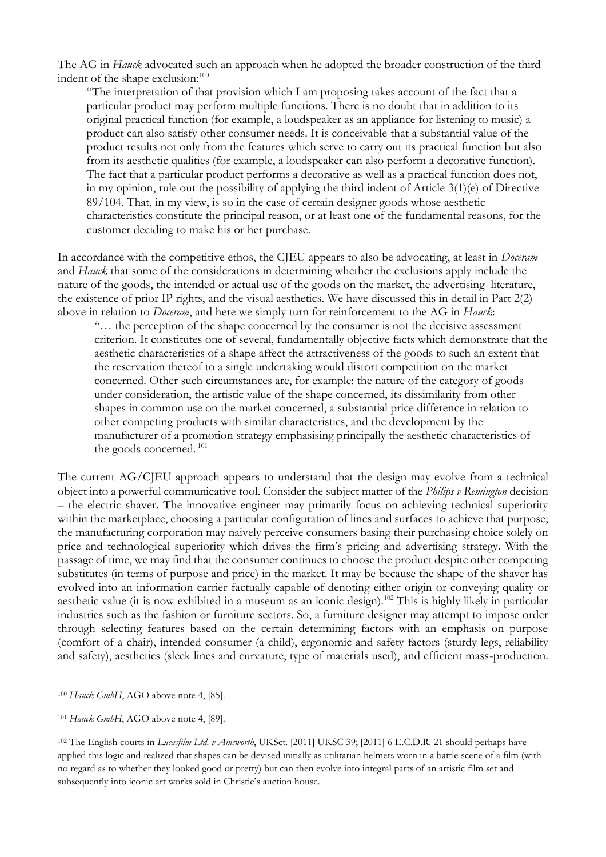The AG in *Hauck* advocated such an approach when he adopted the broader construction of the third indent of the shape exclusion:<sup>100</sup>

"The interpretation of that provision which I am proposing takes account of the fact that a particular product may perform multiple functions. There is no doubt that in addition to its original practical function (for example, a loudspeaker as an appliance for listening to music) a product can also satisfy other consumer needs. It is conceivable that a substantial value of the product results not only from the features which serve to carry out its practical function but also from its aesthetic qualities (for example, a loudspeaker can also perform a decorative function). The fact that a particular product performs a decorative as well as a practical function does not, in my opinion, rule out the possibility of applying the third indent of Article 3(1)(e) of Directive 89/104. That, in my view, is so in the case of certain designer goods whose aesthetic characteristics constitute the principal reason, or at least one of the fundamental reasons, for the customer deciding to make his or her purchase.

In accordance with the competitive ethos, the CJEU appears to also be advocating, at least in *Doceram*  and *Hauck* that some of the considerations in determining whether the exclusions apply include the nature of the goods, the intended or actual use of the goods on the market, the advertising literature, the existence of prior IP rights, and the visual aesthetics. We have discussed this in detail in Part 2(2) above in relation to *Doceram*, and here we simply turn for reinforcement to the AG in *Hauck*:

"… the perception of the shape concerned by the consumer is not the decisive assessment criterion. It constitutes one of several, fundamentally objective facts which demonstrate that the aesthetic characteristics of a shape affect the attractiveness of the goods to such an extent that the reservation thereof to a single undertaking would distort competition on the market concerned. Other such circumstances are, for example: the nature of the category of goods under consideration, the artistic value of the shape concerned, its dissimilarity from other shapes in common use on the market concerned, a substantial price difference in relation to other competing products with similar characteristics, and the development by the manufacturer of a promotion strategy emphasising principally the aesthetic characteristics of the goods concerned.<sup>101</sup>

The current AG/CJEU approach appears to understand that the design may evolve from a technical object into a powerful communicative tool. Consider the subject matter of the *Philips v Remington* decision – the electric shaver. The innovative engineer may primarily focus on achieving technical superiority within the marketplace, choosing a particular configuration of lines and surfaces to achieve that purpose; the manufacturing corporation may naively perceive consumers basing their purchasing choice solely on price and technological superiority which drives the firm's pricing and advertising strategy. With the passage of time, we may find that the consumer continues to choose the product despite other competing substitutes (in terms of purpose and price) in the market. It may be because the shape of the shaver has evolved into an information carrier factually capable of denoting either origin or conveying quality or aesthetic value (it is now exhibited in a museum as an iconic design).<sup>102</sup> This is highly likely in particular industries such as the fashion or furniture sectors. So, a furniture designer may attempt to impose order through selecting features based on the certain determining factors with an emphasis on purpose (comfort of a chair), intended consumer (a child), ergonomic and safety factors (sturdy legs, reliability and safety), aesthetics (sleek lines and curvature, type of materials used), and efficient mass-production.

<sup>100</sup> *Hauck GmbH*, AGO above note 4, [85].

<sup>101</sup> *Hauck GmbH*, AGO above note 4, [89].

<sup>102</sup> The English courts in *Lucasfilm Ltd. v Ainsworth*, UKSct. [2011] UKSC 39; [2011] 6 E.C.D.R. 21 should perhaps have applied this logic and realized that shapes can be devised initially as utilitarian helmets worn in a battle scene of a film (with no regard as to whether they looked good or pretty) but can then evolve into integral parts of an artistic film set and subsequently into iconic art works sold in Christie's auction house.